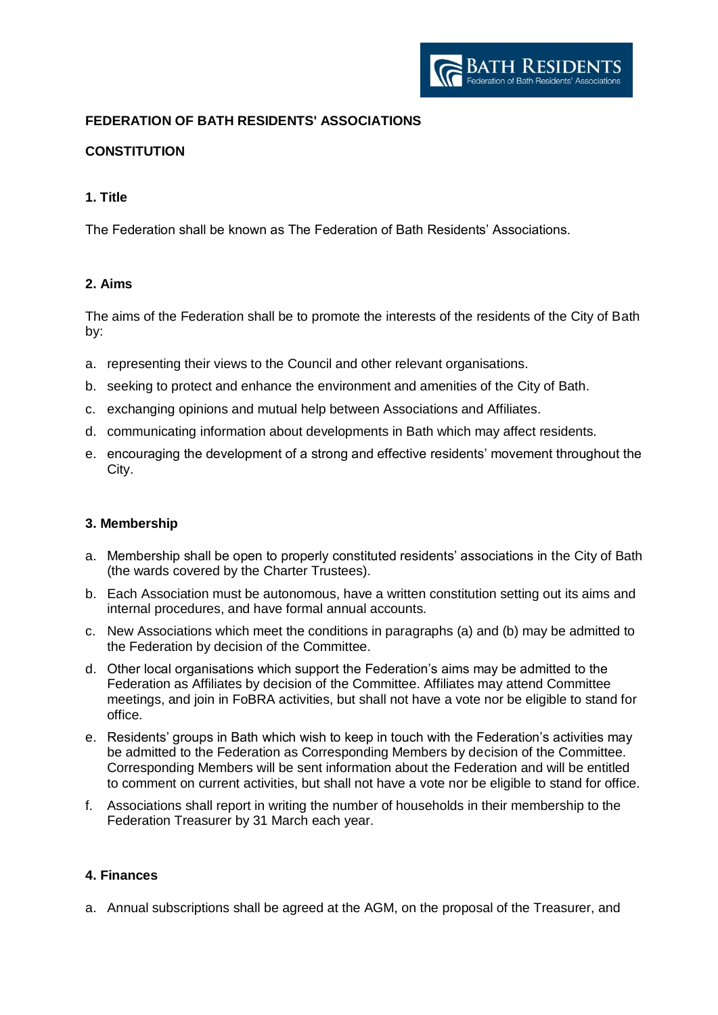

# **FEDERATION OF BATH RESIDENTS' ASSOCIATIONS**

# **CONSTITUTION**

## **1. Title**

The Federation shall be known as The Federation of Bath Residents' Associations.

## **2. Aims**

The aims of the Federation shall be to promote the interests of the residents of the City of Bath by:

- a. representing their views to the Council and other relevant organisations.
- b. seeking to protect and enhance the environment and amenities of the City of Bath.
- c. exchanging opinions and mutual help between Associations and Affiliates.
- d. communicating information about developments in Bath which may affect residents.
- e. encouraging the development of a strong and effective residents' movement throughout the City.

#### **3. Membership**

- a. Membership shall be open to properly constituted residents' associations in the City of Bath (the wards covered by the Charter Trustees).
- b. Each Association must be autonomous, have a written constitution setting out its aims and internal procedures, and have formal annual accounts.
- c. New Associations which meet the conditions in paragraphs (a) and (b) may be admitted to the Federation by decision of the Committee.
- d. Other local organisations which support the Federation's aims may be admitted to the Federation as Affiliates by decision of the Committee. Affiliates may attend Committee meetings, and join in FoBRA activities, but shall not have a vote nor be eligible to stand for office.
- e. Residents' groups in Bath which wish to keep in touch with the Federation's activities may be admitted to the Federation as Corresponding Members by decision of the Committee. Corresponding Members will be sent information about the Federation and will be entitled to comment on current activities, but shall not have a vote nor be eligible to stand for office.
- f. Associations shall report in writing the number of households in their membership to the Federation Treasurer by 31 March each year.

## **4. Finances**

a. Annual subscriptions shall be agreed at the AGM, on the proposal of the Treasurer, and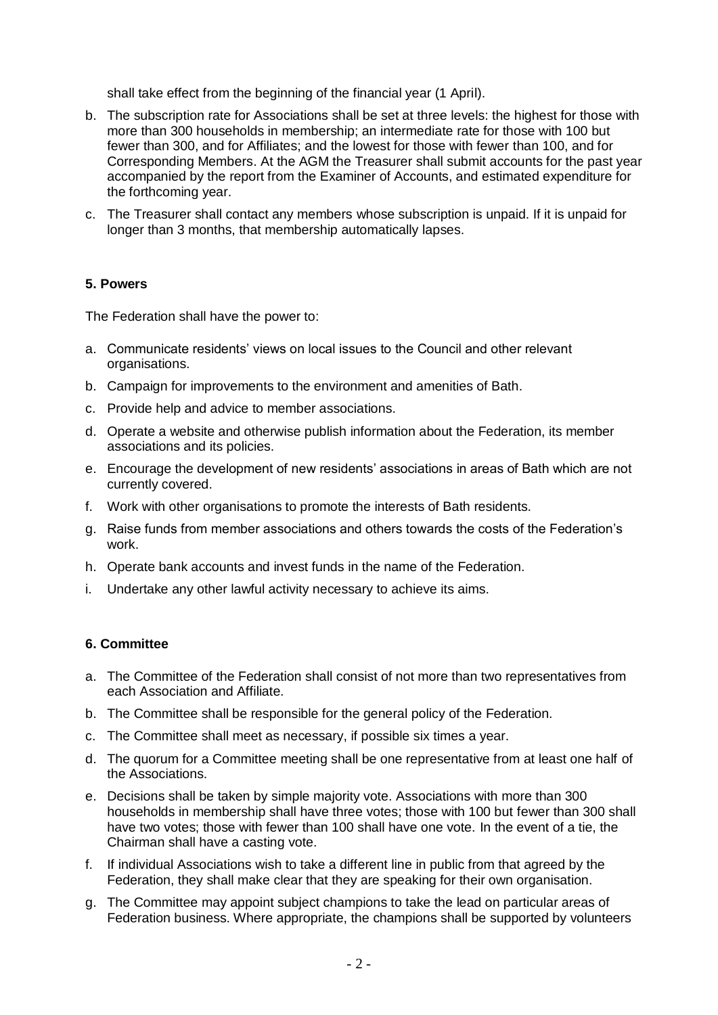shall take effect from the beginning of the financial year (1 April).

- b. The subscription rate for Associations shall be set at three levels: the highest for those with more than 300 households in membership; an intermediate rate for those with 100 but fewer than 300, and for Affiliates; and the lowest for those with fewer than 100, and for Corresponding Members. At the AGM the Treasurer shall submit accounts for the past year accompanied by the report from the Examiner of Accounts, and estimated expenditure for the forthcoming year.
- c. The Treasurer shall contact any members whose subscription is unpaid. If it is unpaid for longer than 3 months, that membership automatically lapses.

#### **5. Powers**

The Federation shall have the power to:

- a. Communicate residents' views on local issues to the Council and other relevant organisations.
- b. Campaign for improvements to the environment and amenities of Bath.
- c. Provide help and advice to member associations.
- d. Operate a website and otherwise publish information about the Federation, its member associations and its policies.
- e. Encourage the development of new residents' associations in areas of Bath which are not currently covered.
- f. Work with other organisations to promote the interests of Bath residents.
- g. Raise funds from member associations and others towards the costs of the Federation's work.
- h. Operate bank accounts and invest funds in the name of the Federation.
- i. Undertake any other lawful activity necessary to achieve its aims.

#### **6. Committee**

- a. The Committee of the Federation shall consist of not more than two representatives from each Association and Affiliate.
- b. The Committee shall be responsible for the general policy of the Federation.
- c. The Committee shall meet as necessary, if possible six times a year.
- d. The quorum for a Committee meeting shall be one representative from at least one half of the Associations.
- e. Decisions shall be taken by simple majority vote. Associations with more than 300 households in membership shall have three votes; those with 100 but fewer than 300 shall have two votes; those with fewer than 100 shall have one vote. In the event of a tie, the Chairman shall have a casting vote.
- f. If individual Associations wish to take a different line in public from that agreed by the Federation, they shall make clear that they are speaking for their own organisation.
- g. The Committee may appoint subject champions to take the lead on particular areas of Federation business. Where appropriate, the champions shall be supported by volunteers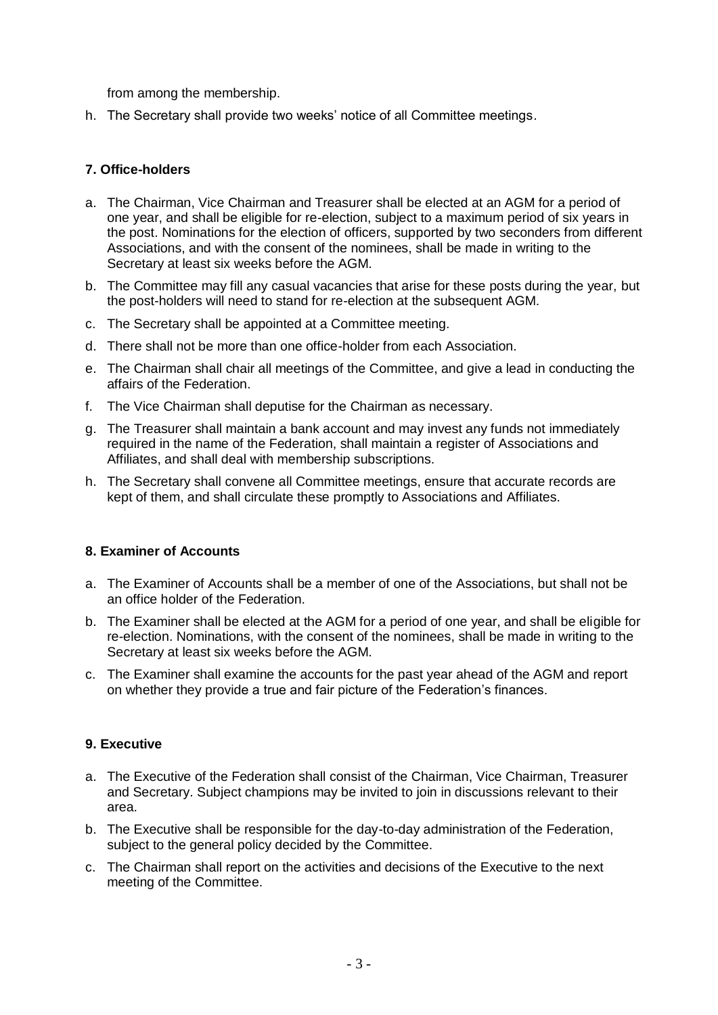from among the membership.

h. The Secretary shall provide two weeks' notice of all Committee meetings.

## **7. Office-holders**

- a. The Chairman, Vice Chairman and Treasurer shall be elected at an AGM for a period of one year, and shall be eligible for re-election, subject to a maximum period of six years in the post. Nominations for the election of officers, supported by two seconders from different Associations, and with the consent of the nominees, shall be made in writing to the Secretary at least six weeks before the AGM.
- b. The Committee may fill any casual vacancies that arise for these posts during the year, but the post-holders will need to stand for re-election at the subsequent AGM.
- c. The Secretary shall be appointed at a Committee meeting.
- d. There shall not be more than one office-holder from each Association.
- e. The Chairman shall chair all meetings of the Committee, and give a lead in conducting the affairs of the Federation.
- f. The Vice Chairman shall deputise for the Chairman as necessary.
- g. The Treasurer shall maintain a bank account and may invest any funds not immediately required in the name of the Federation, shall maintain a register of Associations and Affiliates, and shall deal with membership subscriptions.
- h. The Secretary shall convene all Committee meetings, ensure that accurate records are kept of them, and shall circulate these promptly to Associations and Affiliates.

#### **8. Examiner of Accounts**

- a. The Examiner of Accounts shall be a member of one of the Associations, but shall not be an office holder of the Federation.
- b. The Examiner shall be elected at the AGM for a period of one year, and shall be eligible for re-election. Nominations, with the consent of the nominees, shall be made in writing to the Secretary at least six weeks before the AGM.
- c. The Examiner shall examine the accounts for the past year ahead of the AGM and report on whether they provide a true and fair picture of the Federation's finances.

#### **9. Executive**

- a. The Executive of the Federation shall consist of the Chairman, Vice Chairman, Treasurer and Secretary. Subject champions may be invited to join in discussions relevant to their area.
- b. The Executive shall be responsible for the day-to-day administration of the Federation, subject to the general policy decided by the Committee.
- c. The Chairman shall report on the activities and decisions of the Executive to the next meeting of the Committee.